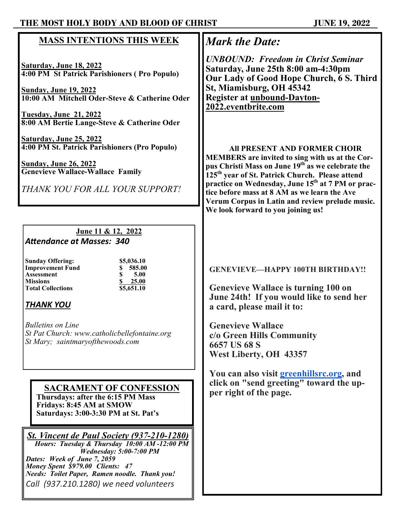### **THE MOST HOLY BODY AND BLOOD OF CHRIST JUNE 19, 2022**

### **MASS INTENTIONS THIS WEEK**

**Saturday, June 18, 2022 4:00 PM St Patrick Parishioners ( Pro Populo)**

**Sunday, June 19, 2022 10:00 AM Mitchell Oder-Steve & Catherine Oder**

**Tuesday, June 21, 2022 8:00 AM Bertie Lange-Steve & Catherine Oder**

**Saturday, June 25, 2022 4:00 PM St. Patrick Parishioners (Pro Populo)**

**Sunday, June 26, 2022 Genevieve Wallace-Wallace Family**

*THANK YOU FOR ALL YOUR SUPPORT!*

## **June 11 & 12, 2022**

*Attendance at Masses: 340*

**Sunday Offering:** \$5,036.10<br> **Improvement Fund** \$5,585.00 **Improvement Fund**<br> **8** 585.00<br> **8** 5.00 **Assessment \$ 5.00 Missions**<br> **8** 25.00<br> **11.10**<br> **12.01**<br> **12.01**<br> **12.01**<br> **12.01**<br> **12.01**<br> **13.051.10 Total Collections \$5,651.10**

## *THANK YOU*

*Bulletins on Line St Pat Church: www.catholicbellefontaine.org St Mary; saintmaryofthewoods.com*

#### **SACRAMENT OF CONFESSION Thursdays: after the 6:15 PM Mass Fridays: 8:45 AM at SMOW Saturdays: 3:00-3:30 PM at St. Pat's**

*St. Vincent de Paul Society (937-210-1280) Hours: Tuesday & Thursday 10:00 AM -12:00 PM Wednesday: 5:00-7:00 PM Dates: Week of June 7, 2059 Money Spent \$979.00 Clients: 47 Needs: Toilet Paper, Ramen noodle. Thank you! Call (937.210.1280) we need volunteers* 

# *Mark the Date:*

*UNBOUND: Freedom in Christ Seminar* **Saturday, June 25th 8:00 am-4:30pm Our Lady of Good Hope Church, 6 S. Third St, Miamisburg, OH 45342 Register at unbound-Dayton-2022.eventbrite.com**

#### **All PRESENT AND FORMER CHOIR**

**MEMBERS are invited to sing with us at the Corpus Christi Mass on June 19th as we celebrate the 125th year of St. Patrick Church. Please attend practice on Wednesday, June 15th at 7 PM or practice before mass at 8 AM as we learn the Ave Verum Corpus in Latin and review prelude music. We look forward to you joining us!**

### **GENEVIEVE—HAPPY 100TH BIRTHDAY!!**

**Genevieve Wallace is turning 100 on June 24th! If you would like to send her a card, please mail it to:**

**Genevieve Wallace c/o Green Hills Community 6657 US 68 S West Liberty, OH 43357**

**You can also visit [greenhillsrc.org,](http://greenhillsrc.org/) and click on "send greeting" toward the upper right of the page.**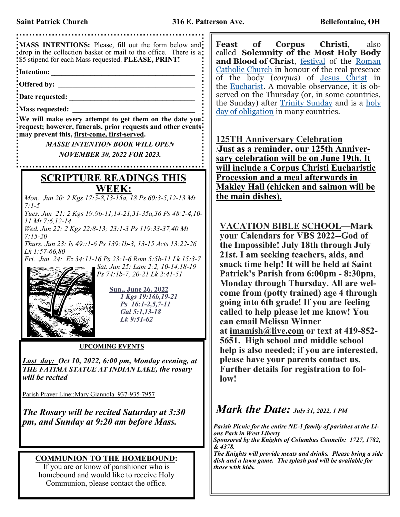

**Feast of Corpus Christi**, also called **Solemnity of the Most Holy Body and Blood of Christ**, [festival](https://www.britannica.com/topic/feast-religion) of the [Roman](https://www.britannica.com/topic/Roman-Catholicism)  [Catholic Church](https://www.britannica.com/topic/Roman-Catholicism) in honour of the real presence of the body (*corpus*) of [Jesus Christ](https://www.britannica.com/biography/Jesus) in the <u>Eucharist</u>. A movable observance, it is observed on the Thursday (or, in some countries, the Sunday) after [Trinity Sunday](https://www.britannica.com/topic/Feast-of-the-Holy-Trinity) and is a [holy](https://www.britannica.com/topic/holy-days-of-obligation)  [day of obligation](https://www.britannica.com/topic/holy-days-of-obligation) in many countries.

**125TH Anniversary Celebration** *!***Just as a reminder, our 125th Anniversary celebration will be on June 19th. It will include a Corpus Christi Eucharistic Procession and a meal afterwards in Makley Hall (chicken and salmon will be** 

**VACATION BIBLE SCHOOL—Mark your Calendars for VBS 2022--God of the Impossible! July 18th through July 21st. I am seeking teachers, aids, and snack time help! It will be held at Saint Patrick's Parish from 6:00pm - 8:30pm, Monday through Thursday. All are welcome from (potty trained) age 4 through going into 6th grade! If you are feeling called to help please let me know! You can email Melissa Winner at [imamish@live.com](mailto:imamish@live.com) or text at 419-852- 5651. High school and middle school help is also needed; if you are interested, please have your parents contact us. Further details for registration to fol-**

## *Mark the Date: July 31, 2022, 1 PM*

*Parish Picnic for the entire NE-1 family of parishes at the Li-Sponsored by the Knights of Columbus Councils: 1727, 1782,* 

*The Knights will provide meats and drinks. Please bring a side dish and a lawn game. The splash pad will be available for*